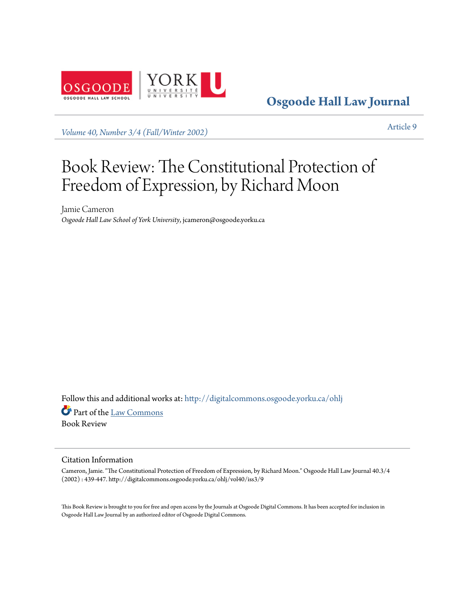

**[Osgoode Hall Law Journal](http://digitalcommons.osgoode.yorku.ca/ohlj?utm_source=digitalcommons.osgoode.yorku.ca%2Fohlj%2Fvol40%2Fiss3%2F9&utm_medium=PDF&utm_campaign=PDFCoverPages)**

*[Volume 40, Number 3/4 \(Fall/Winter 2002\)](http://digitalcommons.osgoode.yorku.ca/ohlj/vol40/iss3?utm_source=digitalcommons.osgoode.yorku.ca%2Fohlj%2Fvol40%2Fiss3%2F9&utm_medium=PDF&utm_campaign=PDFCoverPages)* [Article 9](http://digitalcommons.osgoode.yorku.ca/ohlj/vol40/iss3/9?utm_source=digitalcommons.osgoode.yorku.ca%2Fohlj%2Fvol40%2Fiss3%2F9&utm_medium=PDF&utm_campaign=PDFCoverPages)

# Book Review: The Constitutional Protection of Freedom of Expression, by Richard Moon

Jamie Cameron *Osgoode Hall Law School of York University*, jcameron@osgoode.yorku.ca

Follow this and additional works at: [http://digitalcommons.osgoode.yorku.ca/ohlj](http://digitalcommons.osgoode.yorku.ca/ohlj?utm_source=digitalcommons.osgoode.yorku.ca%2Fohlj%2Fvol40%2Fiss3%2F9&utm_medium=PDF&utm_campaign=PDFCoverPages) Part of the [Law Commons](http://network.bepress.com/hgg/discipline/578?utm_source=digitalcommons.osgoode.yorku.ca%2Fohlj%2Fvol40%2Fiss3%2F9&utm_medium=PDF&utm_campaign=PDFCoverPages) Book Review

#### Citation Information

Cameron, Jamie. "The Constitutional Protection of Freedom of Expression, by Richard Moon." Osgoode Hall Law Journal 40.3/4 (2002) : 439-447. http://digitalcommons.osgoode.yorku.ca/ohlj/vol40/iss3/9

This Book Review is brought to you for free and open access by the Journals at Osgoode Digital Commons. It has been accepted for inclusion in Osgoode Hall Law Journal by an authorized editor of Osgoode Digital Commons.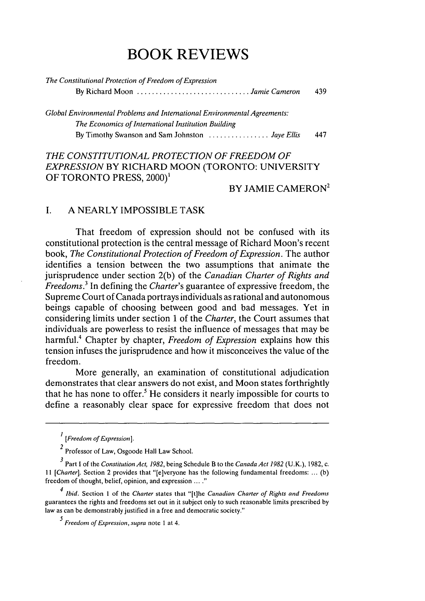# *THE CONSTITUTIONAL PROTECTION OF FREEDOM OF EXPRESSION* BY RICHARD MOON (TORONTO: UNIVERSITY OF TORONTO PRESS, 2000)<sup>1</sup>

# $BY$  JAMIE CAMERON<sup>2</sup>

### I. A NEARLY IMPOSSIBLE TASK

That freedom of expression should not be confused with its constitutional protection is the central message of Richard Moon's recent book, *The Constitutional Protection of Freedom of Expression.* The author identifies a tension between the two assumptions that animate the jurisprudence under section 2(b) of the *Canadian Charter of Rights and Freedoms.3* In defining the *Charter's* guarantee of expressive freedom, the Supreme Court of Canada portrays individuals as rational and autonomous beings capable of choosing between good and bad messages. Yet in considering limits under section 1 of the *Charter,* the Court assumes that individuals are powerless to resist the influence of messages that may be harmful.4 Chapter by chapter, *Freedom of Expression* explains how this tension infuses the jurisprudence and how it misconceives the value of the freedom.

More generally, an examination of constitutional adjudication demonstrates that clear answers do not exist, and Moon states forthrightly that he has none to offer.<sup>5</sup> He considers it nearly impossible for courts to define a reasonably clear space for expressive freedom that does not

Ibid. Section 1 of the Charter states that **"[t]he** Canadian Charter *of Rights and Freedoms* guarantees the rights and freedoms set out in it subject only to such reasonable limits prescribed by law as can be demonstrably justified in a free and democratic society."

*<sup>5</sup>Freedom of Expression, supra* note **I** at 4.

*<sup>[</sup>Freedom of Expression 1.*

*<sup>2</sup>* Professor of Law, Osgoode Hall Law School.

Part **I** of the *Constitution Act, 1982,* being Schedule B to the *Canada Act 1982* (U.K.), 1982, c. 11 [Charter]. Section 2 provides that "[e]veryone has the following fundamental freedoms: ... (b) freedom of thought, belief, opinion, and expression **.... "**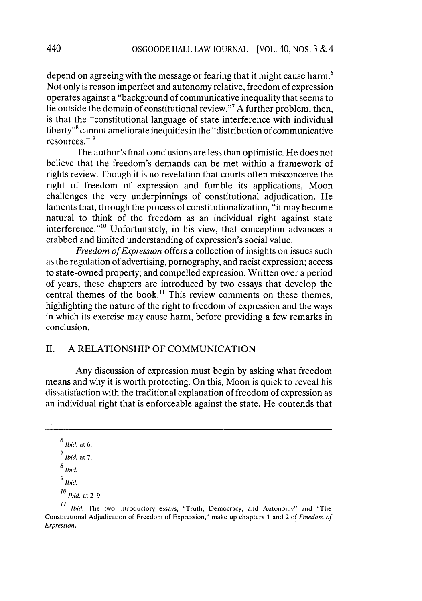depend on agreeing with the message or fearing that it might cause harm.<sup>6</sup> Not only is reason imperfect and autonomy relative, freedom of expression operates against a "background of communicative inequality that seems to lie outside the domain of constitutional review."7 A further problem, then, is that the "constitutional language of state interference with individual liberty"8 cannot ameliorate inequities in the "distribution of communicative resources." **<sup>9</sup>**

The author's final conclusions are less than optimistic. He does not believe that the freedom's demands can be met within a framework of rights review. Though it is no revelation that courts often misconceive the right of freedom of expression and fumble its applications, Moon challenges the very underpinnings of constitutional adjudication. He laments that, through the process of constitutionalization, "it may become natural to think of the freedom as an individual right against state interference."<sup>10</sup> Unfortunately, in his view, that conception advances a crabbed and limited understanding of expression's social value.

*Freedom of Expression* offers a collection of insights on issues such as the regulation of advertising, pornography, and racist expression; access to state-owned property; and compelled expression. Written over a period of years, these chapters are introduced by two essays that develop the central themes of the book." This review comments on these themes, highlighting the nature of the right to freedom of expression and the ways in which its exercise may cause harm, before providing a few remarks in conclusion.

# II. A RELATIONSHIP OF COMMUNICATION

Any discussion of expression must begin by asking what freedom means and why it is worth protecting. On this, Moon is quick to reveal his dissatisfaction with the traditional explanation of freedom of expression as an individual right that is enforceable against the state. He contends that

 $^6$  Ibid. at 6.

**<sup>7</sup>**Ibid. at 7.

 $\frac{8}{\textit{Ibid.}}$ 

**<sup>9</sup>** Ibid.

**<sup>10</sup>***Ibid.* at 219.

<sup>11</sup> Ibid. The two introductory essays, "Truth, Democracy, and Autonomy" and "The Constitutional Adjudication of Freedom of Expression," make up chapters 1 and 2 of *Freedom of Expression.*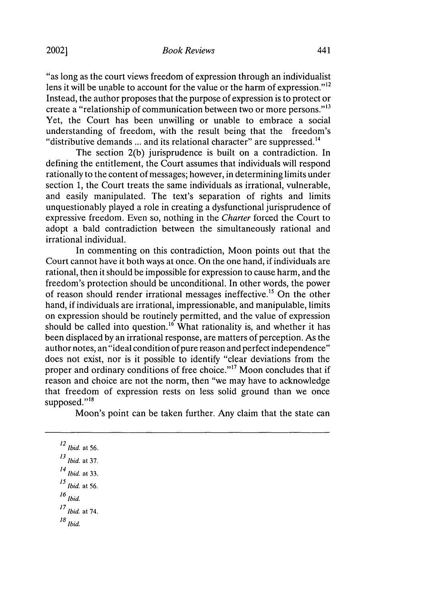"as long as the court views freedom of expression through an individualist lens it will be unable to account for the value or the harm of expression. $12$ Instead, the author proposes that the purpose of expression is to protect or create a "relationship of communication between two or more persons."<sup>13</sup> Yet, the Court has been unwilling or unable to embrace a social understanding of freedom, with the result being that the freedom's "distributive demands ... and its relational character" are suppressed.<sup>14</sup>

The section 2(b) jurisprudence is built on a contradiction. In defining the entitlement, the Court assumes that individuals will respond rationally to the content of messages; however, in determining limits under section 1, the Court treats the same individuals as irrational, vulnerable, and easily manipulated. The text's separation of rights and limits unquestionably played a role in creating a dysfunctional jurisprudence of expressive freedom. Even so, nothing in the *Charter* forced the Court to adopt a bald contradiction between the simultaneously rational and irrational individual.

In commenting on this contradiction, Moon points out that the Court cannot have it both ways at once. On the one hand, if individuals are rational, then it should be impossible for expression to cause harm, and the freedom's protection should be unconditional. In other words, the power of reason should render irrational messages ineffective.<sup>15</sup> On the other hand, if individuals are irrational, impressionable, and manipulable, limits on expression should be routinely permitted, and the value of expression should be called into question.<sup>16</sup> What rationality is, and whether it has been displaced by an irrational response, are matters of perception. As the author notes, an "ideal condition of pure reason and perfect independence" does not exist, nor is it possible to identify "clear deviations from the proper and ordinary conditions of free choice."<sup>17</sup> Moon concludes that if reason and choice are not the norm, then "we may have to acknowledge that freedom of expression rests on less solid ground than we once supposed." $^{18}$ 

Moon's point can be taken further. Any claim that the state can

 $12$  Ibid. at 56. *<sup>13</sup>Ibid.* at 37. 14 Ibid. at 33.

- **<sup>16</sup>**Ibid.
- 
- *<sup>1</sup> <sup>7</sup>*Ibid. at 74.
- **18** Ibid.

*<sup>15</sup>*Ibid. at 56.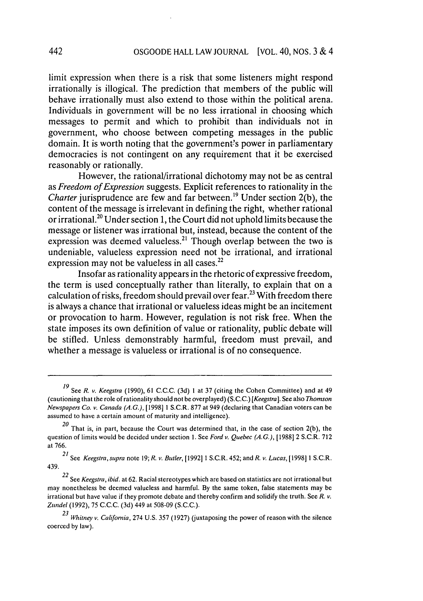limit expression when there is a risk that some listeners might respond irrationally is illogical. The prediction that members of the public will behave irrationally must also extend to those within the political arena. Individuals in government will be no less irrational in choosing which messages to permit and which to prohibit than individuals not in government, who choose between competing messages in the public domain. It is worth noting that the government's power in parliamentary democracies is not contingent on any requirement that it be exercised reasonably or rationally.

However, the rational/irrational dichotomy may not be as central as *Freedom of Expression* suggests. Explicit references to rationality in the *Charter* jurisprudence are few and far between.19 Under section **2(b),** the content of the message is irrelevant in defining the right, whether rational or irrational.2 ° Under section **1,** the Court did not uphold limits because the message or listener was irrational but, instead, because the content of the expression was deemed valueless.<sup>21</sup> Though overlap between the two is undeniable, valueless expression need not be irrational, and irrational expression may not be valueless in all cases. $^{22}$ 

Insofar as rationality appears in the rhetoric of expressive freedom, the term is used conceptually rather than literally, to explain that on a calculation of risks, freedom should prevail over fear.<sup>23</sup> With freedom there is always a chance that irrational or valueless ideas might be an incitement or provocation to harm. However, regulation is not risk free. When the state imposes its own definition of value or rationality, public debate will be stifled. Unless demonstrably harmful, freedom must prevail, and whether a message is valueless or irrational is of no consequence.

See *R. v. Keegstra* (1990), 61 C.C.C. (3d) I at 37 (citing the Cohen Committee) and at 49 (cautioning that the role of rationality should not be overplayed) **(S.C.C.)** *[Keegstra].* See also *Thomson* **Newspapers** Co. *v.* Canada **(A.G.),** [1998] 1 S.C.R. 877 at 949 (declaring that Canadian voters can be assumed to have a certain amount of maturity and intelligence).

*<sup>20</sup>* That is, in part, because the Court was determined that, in the case of section **2(b),** the question of limits would be decided under section **1.** See *Ford* v. *Quebec (A.G.),* [19881 2 S.C.R. 712 at 766.

*<sup>21</sup>* See *Keegstra, supra* note 19; *R. v. Butler,* [19921 1 S.C.R. 452; and *R. v. Lucas,* [1998] 1 S.C.R. 439.

*<sup>22</sup>* See *Keegstra, ibid.* at **62.** Racial stereotypes which are based on statistics are not irrational but may nonetheless be deemed valueless and harmful. **By** the same token, false statements may be irrational but have value if they promote debate and thereby confirm and solidify the truth. See *R. v. Zundel* (1992), 75 **C.C.C.** (3d) 449 at 508-09 **(S.C.C.).**

*<sup>23</sup> Whitney* v. *California,* 274 U.S. 357 (1927) (juxtaposing the power of reason with the silence coerced **by** law).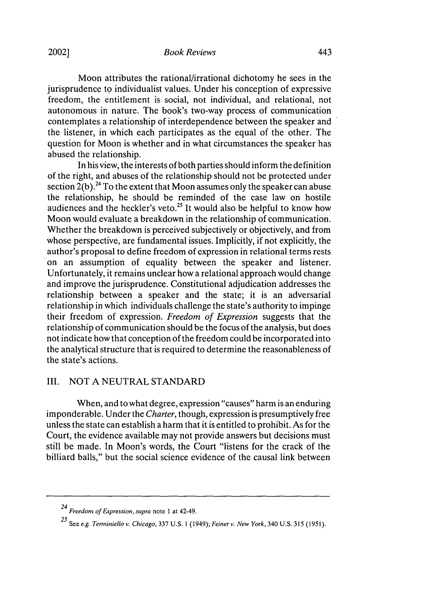#### *Book Reviews*

Moon attributes the rational/irrational dichotomy he sees in the jurisprudence to individualist values. Under his conception of expressive freedom, the entitlement is social, not individual, and relational, not autonomous in nature. The book's two-way process of communication contemplates a relationship of interdependence between the speaker and the listener, in which each participates as the equal of the other. The question for Moon is whether and in what circumstances the speaker has abused the relationship.

In his view, the interests of both parties should inform the definition of the right, and abuses of the relationship should not be protected under section  $2(b)$ .<sup>24</sup> To the extent that Moon assumes only the speaker can abuse the relationship, he should be reminded of the case law on hostile audiences and the heckler's veto.<sup>25</sup> It would also be helpful to know how Moon would evaluate a breakdown in the relationship of communication. Whether the breakdown is perceived subjectively or objectively, and from whose perspective, are fundamental issues. Implicitly, if not explicitly, the author's proposal to define freedom of expression in relational terms rests on an assumption of equality between the speaker and listener. Unfortunately, it remains unclear how a relational approach would change and improve the jurisprudence. Constitutional adjudication addresses the relationship between a speaker and the state; it is an adversarial relationship in which individuals challenge the state's authority to impinge their freedom of expression. *Freedom of Expression* suggests that the relationship of communication should be the focus of the analysis, but does not indicate how that conception of the freedom could be incorporated into the analytical structure that is required to determine the reasonableness of the state's actions.

## III. NOT A NEUTRAL STANDARD

When, and to what degree, expression "causes" harm is an enduring imponderable. Under the *Charter,* though, expression is presumptively free unless the state can establish a harm that it is entitled to prohibit. As for the Court, the evidence available may not provide answers but decisions must still be made. In Moon's words, the Court "listens for the crack of the billiard balls," but the social science evidence of the causal link between

*<sup>24</sup>*Freedom *of Expression, supra* note **I** at 42-49.

**<sup>25</sup>** See e.g. Terminiello v. Chicago, 337 U.S. **1** (1949); Feinerv. New York, 340 U.S. 315 (1951).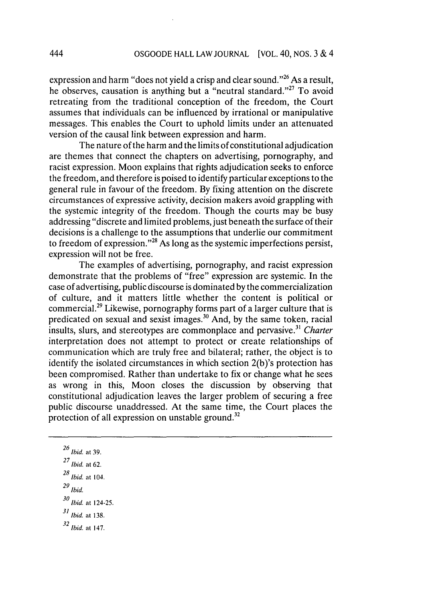expression and harm "does not yield a crisp and clear sound."<sup>26</sup> As a result, he observes, causation is anything but a "neutral standard."<sup>27</sup> To avoid retreating from the traditional conception of the freedom, the Court assumes that individuals can be influenced by irrational or manipulative messages. This enables the Court to uphold limits under an attenuated version of the causal link between expression and harm.

The nature of the harm and the limits of constitutional adjudication are themes that connect the chapters on advertising, pornography, and racist expression. Moon explains that rights adjudication seeks to enforce the freedom, and therefore is poised to identify particular exceptions to the general rule in favour of the freedom. By fixing attention on the discrete circumstances of expressive activity, decision makers avoid grappling with the systemic integrity of the freedom. Though the courts may be busy addressing "discrete and limited problems, just beneath the surface of their decisions is a challenge to the assumptions that underlie our commitment to freedom of expression."<sup>28</sup> As long as the systemic imperfections persist, expression will not be free.

The examples of advertising, pornography, and racist expression demonstrate that the problems of "free" expression are systemic. In the case of advertising, public discourse is dominated by the commercialization of culture, and it matters little whether the content is political or commercial.<sup>29</sup> Likewise, pornography forms part of a larger culture that is predicated on sexual and sexist images.<sup>30</sup> And, by the same token, racial insults, slurs, and stereotypes are commonplace and pervasive.<sup>31</sup> *Charter* interpretation does not attempt to protect or create relationships of communication which are truly free and bilateral; rather, the object is to identify the isolated circumstances in which section 2(b)'s protection has been compromised. Rather than undertake to fix or change what he sees as wrong in this, Moon closes the discussion by observing that constitutional adjudication leaves the larger problem of securing a free public discourse unaddressed. At the same time, the Court places the protection of all expression on unstable ground.<sup>32</sup>

26 Ibid. at **39.** Ibid. at **62.** *<sup>8</sup>* Ibid. at 104.  $29$  Ibid. *<sup>0</sup>*Ibid. at 124-25. Ibid. at 138. Ibid. at 147.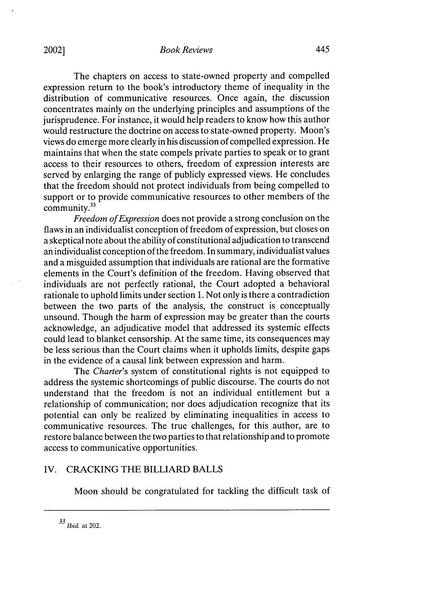The chapters on access to state-owned property and compelled expression return to the book's introductory theme of inequality in the distribution of communicative resources. Once again, the discussion concentrates mainly on the underlying principles and assumptions of the jurisprudence. For instance, it would help readers to know how this author would restructure the doctrine on access to state-owned property. Moon's views do emerge more clearly in his discussion of compelled expression. He maintains that when the state compels private parties to speak or to grant access to their resources to others, freedom of expression interests are served by enlarging the range of publicly expressed views. He concludes that the freedom should not protect individuals from being compelled to support or to provide communicative resources to other members of the community.<sup>33</sup>

*Freedom of Expression* does not provide a strong conclusion on the flaws in an individualist conception of freedom of expression, but closes on a skeptical note about the ability of constitutional adjudication to transcend an individualist conception of the freedom. In summary, individualist values and a misguided assumption that individuals are rational are the formative elements in the Court's definition of the freedom. Having observed that individuals are not perfectly rational, the Court adopted a behavioral rationale to uphold limits under section 1. Not only is there a contradiction between the two parts of the analysis, the construct is conceptually unsound. Though the harm of expression may be greater than the courts acknowledge, an adjudicative model that addressed its systemic effects could lead to blanket censorship. At the same time, its consequences may be less serious than the Court claims when it upholds limits, despite gaps in the evidence of a causal link between expression and harm.

The *Charter's* system of constitutional rights is not equipped to address the systemic shortcomings of public discourse. The courts do not understand that the freedom is not an individual entitlement but a relationship of communication; nor does adjudication recognize that its potential can only be realized by eliminating inequalities in access to communicative resources. The true challenges, for this author, are to restore balance between the two parties to that relationship and to promote access to communicative opportunities.

#### IV. CRACKING THE BILLIARD BALLS

Moon should be congratulated for tackling the difficult task of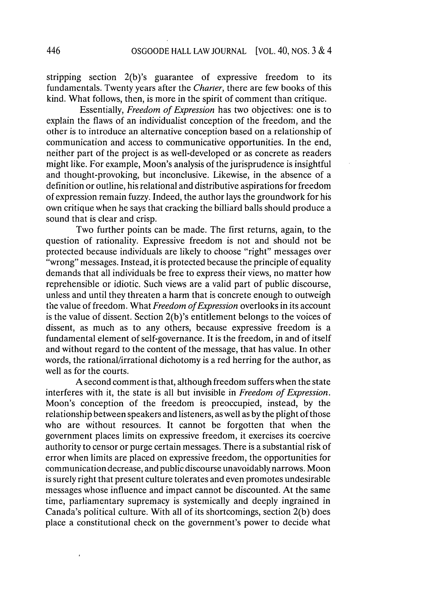stripping section 2(b)'s guarantee of expressive freedom to its fundamentals. Twenty years after the *Charter,* there are few books of this kind. What follows, then, is more in the spirit of comment than critique.

Essentially, *Freedom of Expression* has two objectives: one is to explain the flaws of an individualist conception of the freedom, and the other is to introduce an alternative conception based on a relationship of communication and access to communicative opportunities. In the end, neither part of the project is as well-developed or as concrete as readers might like. For example, Moon's analysis of the jurisprudence is insightful and thought-provoking, but inconclusive. Likewise, in the absence of a definition or outline, his relational and distributive aspirations for freedom of expression remain fuzzy. Indeed, the author lays the groundwork for his own critique when he says that cracking the billiard balls should produce a sound that is clear and crisp.

Two further points can be made. The first returns, again, to the question of rationality. Expressive freedom is not and should not be protected because individuals are likely to choose "right" messages over "wrong" messages. Instead, it is protected because the principle of equality demands that all individuals be free to express their views, no matter how reprehensible or idiotic. Such views are a valid part of public discourse, unless and until they threaten a harm that is concrete enough to outweigh the value of freedom. What *Freedom of Expression* overlooks in its account is the value of dissent. Section 2(b)'s entitlement belongs to the voices of dissent, as much as to any others, because expressive freedom is a fundamental element of self-governance. It is the freedom, in and of itself and without regard to the content of the message, that has value. In other words, the rational/irrational dichotomy is a red herring for the author, as well as for the courts.

**A** second comment is that, although freedom suffers when the state interferes with it, the state is all but invisible in *Freedom of Expression.* Moon's conception of the freedom is preoccupied, instead, **by** the relationship between speakers and listeners, as well as **by** the plight of those who are without resources. It cannot be forgotten that when the government places limits on expressive freedom, it exercises its coercive authority to censor or purge certain messages. There is a substantial risk of error when limits are placed on expressive freedom, the opportunities for communication decrease, and public discourse unavoidably narrows. Moon is surely right that present culture tolerates and even promotes undesirable messages whose influence and impact cannot be discounted. At the same time, parliamentary supremacy is systemically and deeply ingrained in Canada's political culture. With all of its shortcomings, section **2(b)** does place a constitutional check on the government's power to decide what